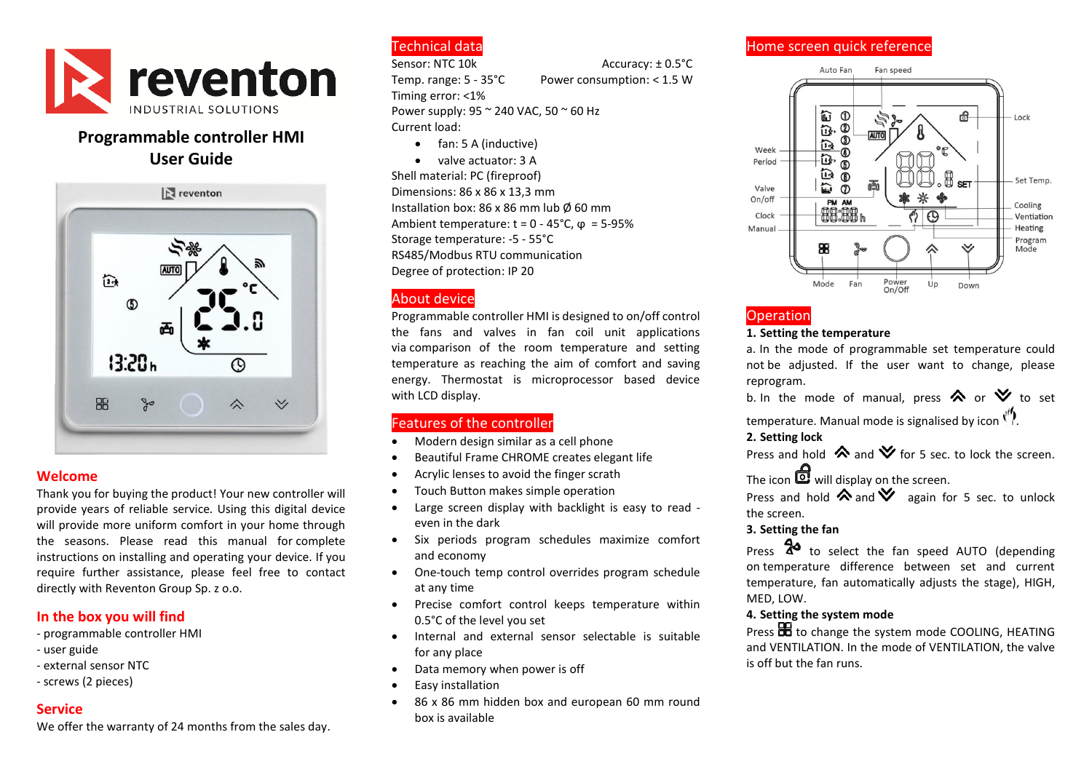

# **Programmable controller HMI User Guide**



#### **Welcome**

Thank you for buying the product! Your new controller will provide years of reliable service. Using this digital device will provide more uniform comfort in your home through the seasons. Please read this manual for complete instructions on installing and operating your device. If you require further assistance, please feel free to contact directly with Reventon Group Sp. z o.o.

## **In the box you will find**

- programmable controller HMI

- user guide
- external sensor NTC
- screws (2 pieces)

## **Service**

We offer the warranty of 24 months from the sales day.

# Technical data

Sensor: NTC 10k Accuracy: ± 0.5°C Temp. range: 5 - 35°C Power consumption: < 1.5 W

Timing error: <1% Power supply: 95 ~ 240 VAC, 50 ~ 60 Hz Current load:

- fan: 5 A (inductive)
- valve actuator: 3 A

Shell material: PC (fireproof) Dimensions: 86 x 86 x 13,3 mm Installation box: 86 x 86 mm lub Ø 60 mm Ambient temperature:  $t = 0 - 45^{\circ}$ C,  $\omega = 5 - 95\%$ Storage temperature: -5 - 55°C RS485/Modbus RTU communication Degree of protection: IP 20

# About device

Programmable controller HMI is designed to on/off control the fans and valves in fan coil unit applications via comparison of the room temperature and setting temperature as reaching the aim of comfort and saving energy. Thermostat is microprocessor based device with LCD display.

## Features of the controller

- Modern design similar as a cell phone
- Beautiful Frame CHROME creates elegant life
- Acrylic lenses to avoid the finger scrath
- Touch Button makes simple operation
- Large screen display with backlight is easy to read even in the dark
- Six periods program schedules maximize comfort and economy
- One-touch temp control overrides program schedule at any time
- Precise comfort control keeps temperature within 0.5°C of the level you set
- Internal and external sensor selectable is suitable for any place
- Data memory when power is off
- Easy installation
- 86 x 86 mm hidden box and european 60 mm round box is available

# Home screen quick reference



# **Operation**

#### **1. Setting the temperature**

a. In the mode of programmable set temperature could not be adjusted. If the user want to change, please reprogram.

b. In the mode of manual, press  $\bigotimes$  or  $\bigotimes$  to set

temperature. Manual mode is signalised by icon  $\binom{n}{k}$ .

## **2. Setting lock**

Press and hold  $\bigotimes$  and  $\bigvee$  for 5 sec. to lock the screen.

The icon  $\bigcirc$  will display on the screen.

Press and hold  $\bigotimes$  and  $\bigotimes$  again for 5 sec. to unlock the screen.

## **3. Setting the fan**

Press 2<sup>0</sup> to select the fan speed AUTO (depending on temperature difference between set and current temperature, fan automatically adjusts the stage), HIGH, MED, LOW.

### **4. Setting the system mode**

Press **BB** to change the system mode COOLING, HEATING and VENTILATION. In the mode of VENTILATION, the valve is off but the fan runs.